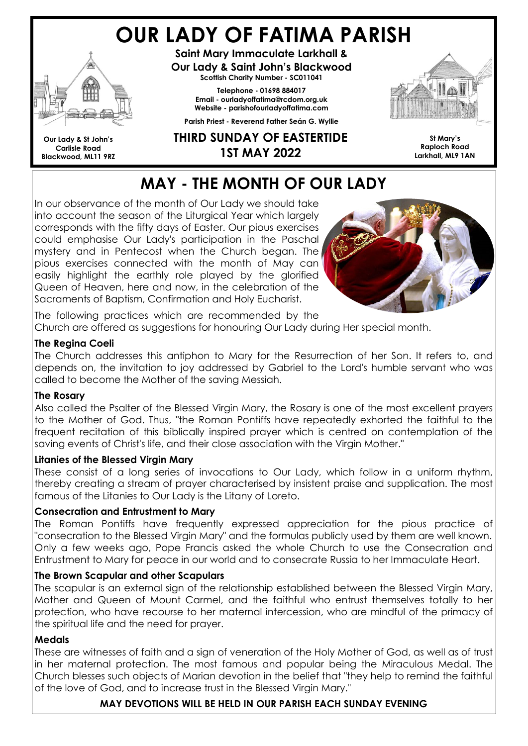# OUR LADY OF FATIMA PARISH



Our Lady & St John's Carlisle Road Blackwood, ML11 9RZ

Saint Mary Immaculate Larkhall & Our Lady & Saint John's Blackwood Scottish Charity Number - SC011041

> Telephone - 01698 884017 Email - ourladyoffatima@rcdom.org.uk Website - parishofourladyoffatima.com

Parish Priest - Reverend Father Seán G. Wyllie



THIRD SUNDAY OF EASTERTIDE 1ST MAY 2022

#### St Mary's Raploch Road Larkhall, ML9 1AN

# MAY - THE MONTH OF OUR LADY

In our observance of the month of Our Lady we should take into account the season of the Liturgical Year which largely corresponds with the fifty days of Easter. Our pious exercises could emphasise Our Lady's participation in the Paschal mystery and in Pentecost when the Church began. The pious exercises connected with the month of May can easily highlight the earthly role played by the glorified Queen of Heaven, here and now, in the celebration of the Sacraments of Baptism, Confirmation and Holy Eucharist.



The following practices which are recommended by the Church are offered as suggestions for honouring Our Lady during Her special month.

### The Regina Coeli

The Church addresses this antiphon to Mary for the Resurrection of her Son. It refers to, and depends on, the invitation to joy addressed by Gabriel to the Lord's humble servant who was called to become the Mother of the saving Messiah.

### The Rosary

Also called the Psalter of the Blessed Virgin Mary, the Rosary is one of the most excellent prayers to the Mother of God. Thus, "the Roman Pontiffs have repeatedly exhorted the faithful to the frequent recitation of this biblically inspired prayer which is centred on contemplation of the saving events of Christ's life, and their close association with the Virgin Mother."

### Litanies of the Blessed Virgin Mary

These consist of a long series of invocations to Our Lady, which follow in a uniform rhythm, thereby creating a stream of prayer characterised by insistent praise and supplication. The most famous of the Litanies to Our Lady is the Litany of Loreto.

### Consecration and Entrustment to Mary

The Roman Pontiffs have frequently expressed appreciation for the pious practice of "consecration to the Blessed Virgin Mary" and the formulas publicly used by them are well known. Only a few weeks ago, Pope Francis asked the whole Church to use the Consecration and Entrustment to Mary for peace in our world and to consecrate Russia to her Immaculate Heart.

### The Brown Scapular and other Scapulars

The scapular is an external sign of the relationship established between the Blessed Virgin Mary, Mother and Queen of Mount Carmel, and the faithful who entrust themselves totally to her protection, who have recourse to her maternal intercession, who are mindful of the primacy of the spiritual life and the need for prayer.

### Medals

These are witnesses of faith and a sign of veneration of the Holy Mother of God, as well as of trust in her maternal protection. The most famous and popular being the Miraculous Medal. The Church blesses such objects of Marian devotion in the belief that "they help to remind the faithful of the love of God, and to increase trust in the Blessed Virgin Mary."

### MAY DEVOTIONS WILL BE HELD IN OUR PARISH EACH SUNDAY EVENING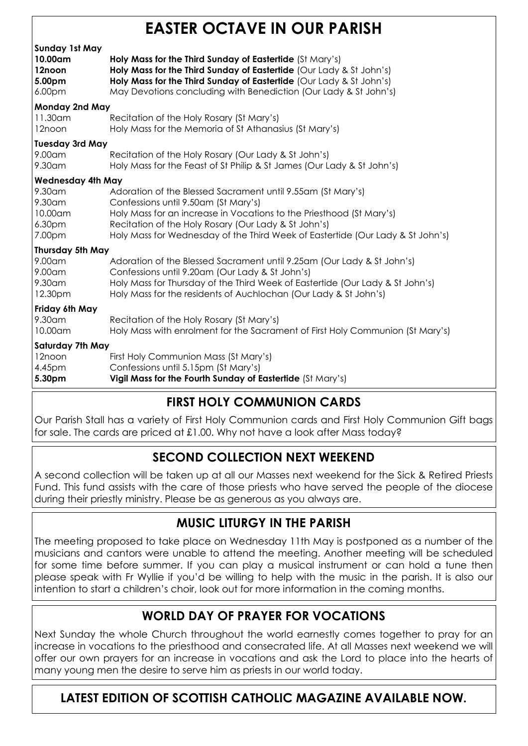# EASTER OCTAVE IN OUR PARISH

| <b>Sunday 1st May</b><br>10.00am<br>12noon<br>5.00pm<br>6.00 <sub>pm</sub> | Holy Mass for the Third Sunday of Eastertide (St Mary's)<br>Holy Mass for the Third Sunday of Eastertide (Our Lady & St John's)<br>Holy Mass for the Third Sunday of Eastertide (Our Lady & St John's)<br>May Devotions concluding with Benediction (Our Lady & St John's)                                            |  |
|----------------------------------------------------------------------------|-----------------------------------------------------------------------------------------------------------------------------------------------------------------------------------------------------------------------------------------------------------------------------------------------------------------------|--|
| Monday 2nd May                                                             |                                                                                                                                                                                                                                                                                                                       |  |
| 11.30am<br>12noon                                                          | Recitation of the Holy Rosary (St Mary's)<br>Holy Mass for the Memoria of St Athanasius (St Mary's)                                                                                                                                                                                                                   |  |
| <b>Tuesday 3rd May</b>                                                     |                                                                                                                                                                                                                                                                                                                       |  |
| 9.00am<br>9.30am                                                           | Recitation of the Holy Rosary (Our Lady & St John's)<br>Holy Mass for the Feast of St Philip & St James (Our Lady & St John's)                                                                                                                                                                                        |  |
| <b>Wednesday 4th May</b>                                                   |                                                                                                                                                                                                                                                                                                                       |  |
| 9.30am<br>9.30am<br>10.00am<br>6.30 <sub>pm</sub><br>7.00pm                | Adoration of the Blessed Sacrament until 9.55am (St Mary's)<br>Confessions until 9.50am (St Mary's)<br>Holy Mass for an increase in Vocations to the Priesthood (St Mary's)<br>Recitation of the Holy Rosary (Our Lady & St John's)<br>Holy Mass for Wednesday of the Third Week of Eastertide (Our Lady & St John's) |  |
| Thursday 5th May                                                           |                                                                                                                                                                                                                                                                                                                       |  |
| 9.00am<br>9.00am<br>9.30am<br>12.30pm                                      | Adoration of the Blessed Sacrament until 9.25am (Our Lady & St John's)<br>Confessions until 9.20am (Our Lady & St John's)<br>Holy Mass for Thursday of the Third Week of Eastertide (Our Lady & St John's)<br>Holy Mass for the residents of Auchlochan (Our Lady & St John's)                                        |  |
| Friday 6th May                                                             |                                                                                                                                                                                                                                                                                                                       |  |
| 9.30am<br>10.00am                                                          | Recitation of the Holy Rosary (St Mary's)<br>Holy Mass with enrolment for the Sacrament of First Holy Communion (St Mary's)                                                                                                                                                                                           |  |
| <b>Saturday 7th May</b>                                                    |                                                                                                                                                                                                                                                                                                                       |  |
| 12noon<br>4.45pm<br>5.30pm                                                 | First Holy Communion Mass (St Mary's)<br>Confessions until 5.15pm (St Mary's)<br>Vigil Mass for the Fourth Sunday of Eastertide (St Mary's)                                                                                                                                                                           |  |

# FIRST HOLY COMMUNION CARDS

Our Parish Stall has a variety of First Holy Communion cards and First Holy Communion Gift bags for sale. The cards are priced at £1.00. Why not have a look after Mass today?

# SECOND COLLECTION NEXT WEEKEND

A second collection will be taken up at all our Masses next weekend for the Sick & Retired Priests Fund. This fund assists with the care of those priests who have served the people of the diocese during their priestly ministry. Please be as generous as you always are.

## MUSIC LITURGY IN THE PARISH

The meeting proposed to take place on Wednesday 11th May is postponed as a number of the musicians and cantors were unable to attend the meeting. Another meeting will be scheduled for some time before summer. If you can play a musical instrument or can hold a tune then please speak with Fr Wyllie if you'd be willing to help with the music in the parish. It is also our intention to start a children's choir, look out for more information in the coming months.

# WORLD DAY OF PRAYER FOR VOCATIONS

Next Sunday the whole Church throughout the world earnestly comes together to pray for an increase in vocations to the priesthood and consecrated life. At all Masses next weekend we will offer our own prayers for an increase in vocations and ask the Lord to place into the hearts of many young men the desire to serve him as priests in our world today.

LATEST EDITION OF SCOTTISH CATHOLIC MAGAZINE AVAILABLE NOW.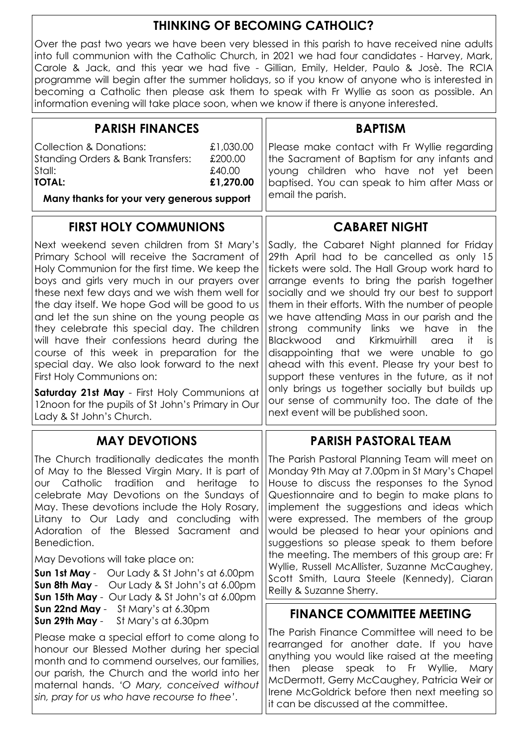# THINKING OF BECOMING CATHOLIC?

Over the past two years we have been very blessed in this parish to have received nine adults into full communion with the Catholic Church, in 2021 we had four candidates - Harvey, Mark, Carole & Jack, and this year we had five - Gillian, Emily, Helder, Paulo & Josè. The RCIA programme will begin after the summer holidays, so if you know of anyone who is interested in becoming a Catholic then please ask them to speak with Fr Wyllie as soon as possible. An information evening will take place soon, when we know if there is anyone interested.

| <b>PARISH FINANCES</b>                                                                                                                                                                                                                                                                                                                                                                                                                                                                                                                                                                                                       | <b>BAPTISM</b>                                                                                                                                                                                                                                                                                                                                                                                                                                                                                                                                                                                                                                               |
|------------------------------------------------------------------------------------------------------------------------------------------------------------------------------------------------------------------------------------------------------------------------------------------------------------------------------------------------------------------------------------------------------------------------------------------------------------------------------------------------------------------------------------------------------------------------------------------------------------------------------|--------------------------------------------------------------------------------------------------------------------------------------------------------------------------------------------------------------------------------------------------------------------------------------------------------------------------------------------------------------------------------------------------------------------------------------------------------------------------------------------------------------------------------------------------------------------------------------------------------------------------------------------------------------|
| <b>Collection &amp; Donations:</b><br>£1,030.00<br>£200.00<br><b>Standing Orders &amp; Bank Transfers:</b><br>£40.00<br>Stall:<br><b>TOTAL:</b><br>£1,270.00                                                                                                                                                                                                                                                                                                                                                                                                                                                                 | Please make contact with Fr Wyllie regarding<br>the Sacrament of Baptism for any infants and<br>young children who have not yet been<br>baptised. You can speak to him after Mass or<br>email the parish.                                                                                                                                                                                                                                                                                                                                                                                                                                                    |
| Many thanks for your very generous support                                                                                                                                                                                                                                                                                                                                                                                                                                                                                                                                                                                   |                                                                                                                                                                                                                                                                                                                                                                                                                                                                                                                                                                                                                                                              |
| <b>FIRST HOLY COMMUNIONS</b>                                                                                                                                                                                                                                                                                                                                                                                                                                                                                                                                                                                                 | <b>CABARET NIGHT</b>                                                                                                                                                                                                                                                                                                                                                                                                                                                                                                                                                                                                                                         |
| Next weekend seven children from St Mary's<br>Primary School will receive the Sacrament of<br>Holy Communion for the first time. We keep the<br>boys and girls very much in our prayers over<br>these next few days and we wish them well for<br>the day itself. We hope God will be good to us<br>and let the sun shine on the young people as<br>they celebrate this special day. The children<br>will have their confessions heard during the<br>course of this week in preparation for the<br>special day. We also look forward to the next<br>First Holy Communions on:<br>Saturday 21st May - First Holy Communions at | Sadly, the Cabaret Night planned for Friday<br>29th April had to be cancelled as only 15<br>tickets were sold. The Hall Group work hard to<br>arrange events to bring the parish together<br>socially and we should try our best to support<br>them in their efforts. With the number of people<br>we have attending Mass in our parish and the<br>strong community links we have<br>the<br>in i<br>Blackwood<br>Kirkmuirhill<br>and<br>it.<br>area<br>is.<br>disappointing that we were unable to go<br>ahead with this event. Please try your best to<br>support these ventures in the future, as it not<br>only brings us together socially but builds up |
| 12noon for the pupils of St John's Primary in Our<br>Lady & St John's Church.                                                                                                                                                                                                                                                                                                                                                                                                                                                                                                                                                | our sense of community too. The date of the<br>next event will be published soon.                                                                                                                                                                                                                                                                                                                                                                                                                                                                                                                                                                            |
| <b>MAY DEVOTIONS</b>                                                                                                                                                                                                                                                                                                                                                                                                                                                                                                                                                                                                         | <b>PARISH PASTORAL TEAM</b>                                                                                                                                                                                                                                                                                                                                                                                                                                                                                                                                                                                                                                  |
| The Church traditionally dedicates the month<br>of May to the Blessed Virgin Mary. It is part of<br>our Catholic tradition and<br>heritage<br>to<br>celebrate May Devotions on the Sundays of<br>May. These devotions include the Holy Rosary,<br>Litany to Our Lady and concluding<br>with<br>Adoration of the Blessed Sacrament<br>and<br>Benediction.<br>May Devotions will take place on:<br><b>Sun 1st May</b> - Our Lady & St John's at 6.00pm<br>Sun 8th May - Our Lady & St John's at 6.00pm<br>Sun 15th May - Our Lady & St John's at 6.00pm                                                                        | The Parish Pastoral Planning Team will meet on<br>Monday 9th May at 7.00pm in St Mary's Chapel<br>House to discuss the responses to the Synod<br>Questionnaire and to begin to make plans to<br>implement the suggestions and ideas which<br>were expressed. The members of the group<br>would be pleased to hear your opinions and<br>suggestions so please speak to them before<br>the meeting. The members of this group are: Fr<br>Wyllie, Russell McAllister, Suzanne McCaughey,<br>Scott Smith, Laura Steele (Kennedy), Ciaran<br>Reilly & Suzanne Sherry.                                                                                             |
| Sun 22nd May - St Mary's at 6.30pm<br>Sun 29th May -<br>St Mary's at 6.30pm                                                                                                                                                                                                                                                                                                                                                                                                                                                                                                                                                  | <b>FINANCE COMMITTEE MEETING</b>                                                                                                                                                                                                                                                                                                                                                                                                                                                                                                                                                                                                                             |
| Please make a special effort to come along to<br>honour our Blessed Mother during her special<br>month and to commend ourselves, our families,<br>our parish, the Church and the world into her<br>maternal hands. 'O Mary, conceived without<br>sin, pray for us who have recourse to thee'.                                                                                                                                                                                                                                                                                                                                | The Parish Finance Committee will need to be<br>rearranged for another date. If you have<br>anything you would like raised at the meeting<br>please speak to Fr Wyllie,<br>then<br>Mary<br>McDermott, Gerry McCaughey, Patricia Weir or<br>Irene McGoldrick before then next meeting so<br>it can be discussed at the committee.                                                                                                                                                                                                                                                                                                                             |